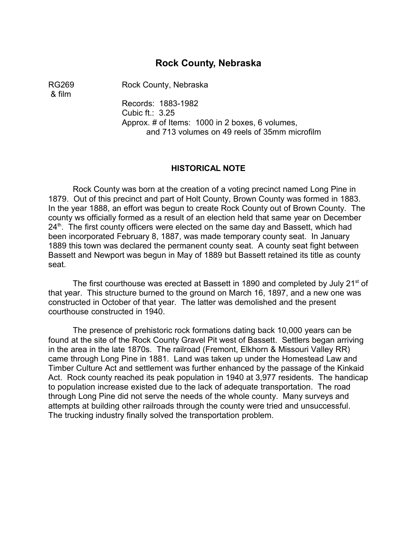# **Rock County, Nebraska**

& film

RG269 Rock County, Nebraska

Records: 1883-1982 Cubic ft.: 3.25 Approx. # of Items: 1000 in 2 boxes, 6 volumes, and 713 volumes on 49 reels of 35mm microfilm

#### **HISTORICAL NOTE**

Rock County was born at the creation of a voting precinct named Long Pine in 1879. Out of this precinct and part of Holt County, Brown County was formed in 1883. In the year 1888, an effort was begun to create Rock County out of Brown County. The county ws officially formed as a result of an election held that same year on December  $24<sup>th</sup>$ . The first county officers were elected on the same day and Bassett, which had been incorporated February 8, 1887, was made temporary county seat. In January 1889 this town was declared the permanent county seat. A county seat fight between Bassett and Newport was begun in May of 1889 but Bassett retained its title as county seat.

The first courthouse was erected at Bassett in 1890 and completed by July 21<sup>st</sup> of that year. This structure burned to the ground on March 16, 1897, and a new one was constructed in October of that year. The latter was demolished and the present courthouse constructed in 1940.

The presence of prehistoric rock formations dating back 10,000 years can be found at the site of the Rock County Gravel Pit west of Bassett. Settlers began arriving in the area in the late 1870s. The railroad (Fremont, Elkhorn & Missouri Valley RR) came through Long Pine in 1881. Land was taken up under the Homestead Law and Timber Culture Act and settlement was further enhanced by the passage of the Kinkaid Act. Rock county reached its peak population in 1940 at 3,977 residents. The handicap to population increase existed due to the lack of adequate transportation. The road through Long Pine did not serve the needs of the whole county. Many surveys and attempts at building other railroads through the county were tried and unsuccessful. The trucking industry finally solved the transportation problem.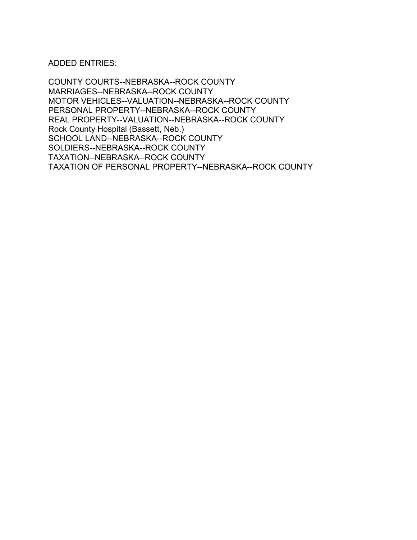ADDED ENTRIES:

COUNTY COURTS--NEBRASKA--ROCK COUNTY MARRIAGES--NEBRASKA--ROCK COUNTY MOTOR VEHICLES--VALUATION--NEBRASKA--ROCK COUNTY PERSONAL PROPERTY--NEBRASKA--ROCK COUNTY REAL PROPERTY--VALUATION--NEBRASKA--ROCK COUNTY Rock County Hospital (Bassett, Neb.) SCHOOL LAND--NEBRASKA--ROCK COUNTY SOLDIERS--NEBRASKA--ROCK COUNTY TAXATION--NEBRASKA--ROCK COUNTY TAXATION OF PERSONAL PROPERTY--NEBRASKA--ROCK COUNTY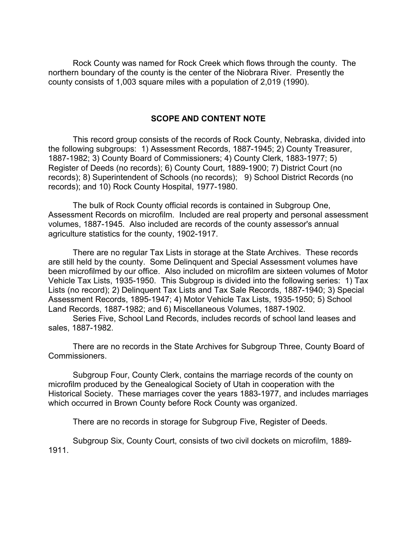Rock County was named for Rock Creek which flows through the county. The northern boundary of the county is the center of the Niobrara River. Presently the county consists of 1,003 square miles with a population of 2,019 (1990).

### **SCOPE AND CONTENT NOTE**

This record group consists of the records of Rock County, Nebraska, divided into the following subgroups: 1) Assessment Records, 1887-1945; 2) County Treasurer, 1887-1982; 3) County Board of Commissioners; 4) County Clerk, 1883-1977; 5) Register of Deeds (no records); 6) County Court, 1889-1900; 7) District Court (no records); 8) Superintendent of Schools (no records); 9) School District Records (no records); and 10) Rock County Hospital, 1977-1980.

The bulk of Rock County official records is contained in Subgroup One, Assessment Records on microfilm. Included are real property and personal assessment volumes, 1887-1945. Also included are records of the county assessor's annual agriculture statistics for the county, 1902-1917.

There are no regular Tax Lists in storage at the State Archives. These records are still held by the county. Some Delinquent and Special Assessment volumes have been microfilmed by our office. Also included on microfilm are sixteen volumes of Motor Vehicle Tax Lists, 1935-1950. This Subgroup is divided into the following series: 1) Tax Lists (no record); 2) Delinquent Tax Lists and Tax Sale Records, 1887-1940; 3) Special Assessment Records, 1895-1947; 4) Motor Vehicle Tax Lists, 1935-1950; 5) School Land Records, 1887-1982; and 6) Miscellaneous Volumes, 1887-1902.

Series Five, School Land Records, includes records of school land leases and sales, 1887-1982.

There are no records in the State Archives for Subgroup Three, County Board of Commissioners.

Subgroup Four, County Clerk, contains the marriage records of the county on microfilm produced by the Genealogical Society of Utah in cooperation with the Historical Society. These marriages cover the years 1883-1977, and includes marriages which occurred in Brown County before Rock County was organized.

There are no records in storage for Subgroup Five, Register of Deeds.

Subgroup Six, County Court, consists of two civil dockets on microfilm, 1889- 1911.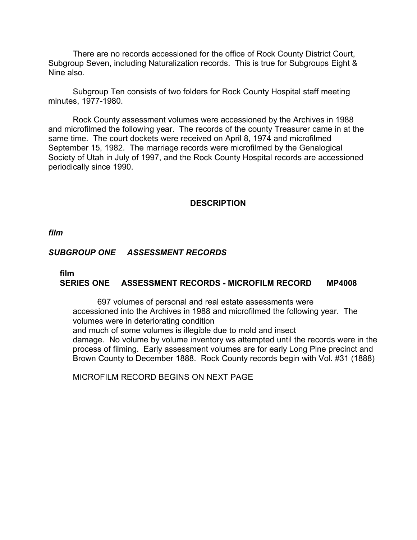There are no records accessioned for the office of Rock County District Court, Subgroup Seven, including Naturalization records. This is true for Subgroups Eight & Nine also.

Subgroup Ten consists of two folders for Rock County Hospital staff meeting minutes, 1977-1980.

Rock County assessment volumes were accessioned by the Archives in 1988 and microfilmed the following year. The records of the county Treasurer came in at the same time. The court dockets were received on April 8, 1974 and microfilmed September 15, 1982. The marriage records were microfilmed by the Genalogical Society of Utah in July of 1997, and the Rock County Hospital records are accessioned periodically since 1990.

## **DESCRIPTION**

*film* 

# *SUBGROUP ONE ASSESSMENT RECORDS*

### **film SERIES ONE ASSESSMENT RECORDS - MICROFILM RECORD MP4008**

697 volumes of personal and real estate assessments were accessioned into the Archives in 1988 and microfilmed the following year. The volumes were in deteriorating condition and much of some volumes is illegible due to mold and insect

damage. No volume by volume inventory ws attempted until the records were in the process of filming. Early assessment volumes are for early Long Pine precinct and Brown County to December 1888. Rock County records begin with Vol. #31 (1888)

MICROFILM RECORD BEGINS ON NEXT PAGE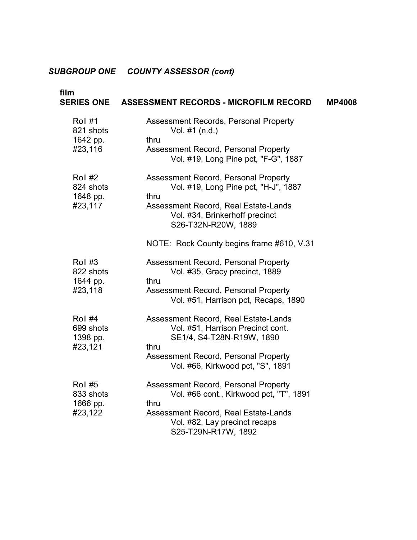| film                                        | SERIES ONE ASSESSMENT RECORDS - MICROFILM RECORD                                                                                                                                                            | <b>MP4008</b> |
|---------------------------------------------|-------------------------------------------------------------------------------------------------------------------------------------------------------------------------------------------------------------|---------------|
| Roll #1<br>821 shots<br>1642 pp.<br>#23,116 | Assessment Records, Personal Property<br>Vol. #1 (n.d.)<br>thru<br>Assessment Record, Personal Property<br>Vol. #19, Long Pine pct, "F-G", 1887                                                             |               |
| Roll #2<br>824 shots<br>1648 pp.<br>#23,117 | Assessment Record, Personal Property<br>Vol. #19, Long Pine pct, "H-J", 1887<br>thru<br>Assessment Record, Real Estate-Lands<br>Vol. #34, Brinkerhoff precinct<br>S26-T32N-R20W, 1889                       |               |
| Roll #3<br>822 shots<br>1644 pp.<br>#23,118 | NOTE: Rock County begins frame #610, V.31<br>Assessment Record, Personal Property<br>Vol. #35, Gracy precinct, 1889<br>thru<br>Assessment Record, Personal Property<br>Vol. #51, Harrison pct, Recaps, 1890 |               |
| Roll #4<br>699 shots<br>1398 pp.<br>#23,121 | Assessment Record, Real Estate-Lands<br>Vol. #51, Harrison Precinct cont.<br>SE1/4, S4-T28N-R19W, 1890<br>thru<br>Assessment Record, Personal Property<br>Vol. #66, Kirkwood pct, "S", 1891                 |               |
| Roll #5<br>833 shots<br>1666 pp.<br>#23,122 | Assessment Record, Personal Property<br>Vol. #66 cont., Kirkwood pct, "T", 1891<br>thru<br>Assessment Record, Real Estate-Lands<br>Vol. #82, Lay precinct recaps<br>S25-T29N-R17W, 1892                     |               |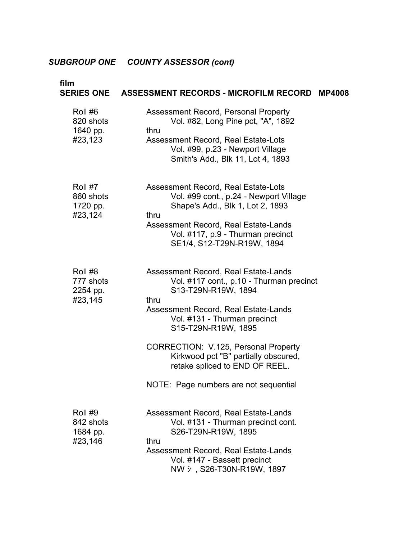| film                                        | SERIES ONE ASSESSMENT RECORDS - MICROFILM RECORD                                                                                                                                                                                                                                                                                                                          | <b>MP4008</b> |
|---------------------------------------------|---------------------------------------------------------------------------------------------------------------------------------------------------------------------------------------------------------------------------------------------------------------------------------------------------------------------------------------------------------------------------|---------------|
| Roll #6<br>820 shots<br>1640 pp.<br>#23,123 | Assessment Record, Personal Property<br>Vol. #82, Long Pine pct, "A", 1892<br>thru<br>Assessment Record, Real Estate-Lots<br>Vol. #99, p.23 - Newport Village<br>Smith's Add., Blk 11, Lot 4, 1893                                                                                                                                                                        |               |
| Roll #7<br>860 shots<br>1720 pp.<br>#23,124 | Assessment Record, Real Estate-Lots<br>Vol. #99 cont., p.24 - Newport Village<br>Shape's Add., Blk 1, Lot 2, 1893<br>thru<br>Assessment Record, Real Estate-Lands<br>Vol. #117, p.9 - Thurman precinct<br>SE1/4, S12-T29N-R19W, 1894                                                                                                                                      |               |
| Roll #8<br>777 shots<br>2254 pp.<br>#23,145 | Assessment Record, Real Estate-Lands<br>Vol. #117 cont., p.10 - Thurman precinct<br>S13-T29N-R19W, 1894<br>thru<br>Assessment Record, Real Estate-Lands<br>Vol. #131 - Thurman precinct<br>S15-T29N-R19W, 1895<br>CORRECTION: V.125, Personal Property<br>Kirkwood pct "B" partially obscured,<br>retake spliced to END OF REEL.<br>NOTE: Page numbers are not sequential |               |
| Roll #9<br>842 shots<br>1684 pp.<br>#23,146 | Assessment Record, Real Estate-Lands<br>Vol. #131 - Thurman precinct cont.<br>S26-T29N-R19W, 1895<br>thru<br>Assessment Record, Real Estate-Lands<br>Vol. #147 - Bassett precinct<br>NW $\dot{y}$ , S26-T30N-R19W, 1897                                                                                                                                                   |               |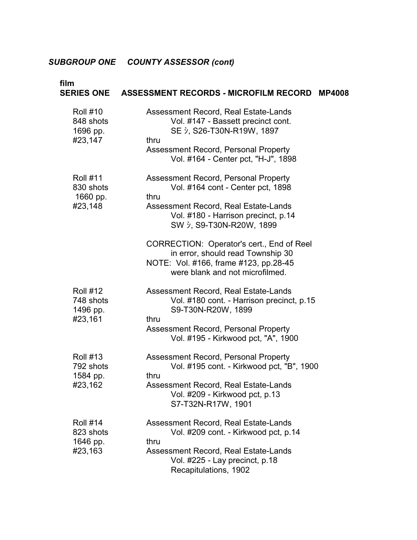| film                                                | SERIES ONE ASSESSMENT RECORDS - MICROFILM RECORD<br><b>MP4008</b>                                                                                                                                                                                                                                               |
|-----------------------------------------------------|-----------------------------------------------------------------------------------------------------------------------------------------------------------------------------------------------------------------------------------------------------------------------------------------------------------------|
| <b>Roll #10</b><br>848 shots<br>1696 pp.<br>#23,147 | Assessment Record, Real Estate-Lands<br>Vol. #147 - Bassett precinct cont.<br>SE $\dot{y}$ , S26-T30N-R19W, 1897<br>thru<br>Assessment Record, Personal Property<br>Vol. #164 - Center pct, "H-J", 1898                                                                                                         |
| <b>Roll #11</b><br>830 shots<br>1660 pp.<br>#23,148 | Assessment Record, Personal Property<br>Vol. #164 cont - Center pct, 1898<br>thru<br>Assessment Record, Real Estate-Lands<br>Vol. #180 - Harrison precinct, p.14<br>SW 5, S9-T30N-R20W, 1899<br>CORRECTION: Operator's cert., End of Reel                                                                       |
| <b>Roll #12</b><br>748 shots<br>1496 pp.<br>#23,161 | in error, should read Township 30<br>NOTE: Vol. #166, frame #123, pp.28-45<br>were blank and not microfilmed.<br>Assessment Record, Real Estate-Lands<br>Vol. #180 cont. - Harrison precinct, p.15<br>S9-T30N-R20W, 1899<br>thru<br>Assessment Record, Personal Property<br>Vol. #195 - Kirkwood pct, "A", 1900 |
| <b>Roll #13</b><br>792 shots<br>1584 pp.<br>#23,162 | Assessment Record, Personal Property<br>Vol. #195 cont. - Kirkwood pct, "B", 1900<br>thru<br>Assessment Record, Real Estate-Lands<br>Vol. #209 - Kirkwood pct, p.13<br>S7-T32N-R17W, 1901                                                                                                                       |
| <b>Roll #14</b><br>823 shots<br>1646 pp.<br>#23,163 | Assessment Record, Real Estate-Lands<br>Vol. #209 cont. - Kirkwood pct, p.14<br>thru<br>Assessment Record, Real Estate-Lands<br>Vol. #225 - Lay precinct, p.18<br>Recapitulations, 1902                                                                                                                         |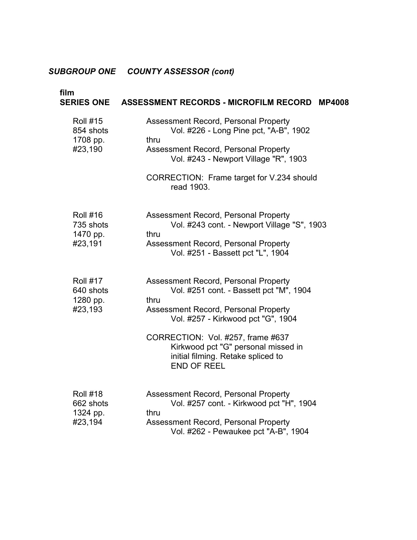| film<br><b>SERIES ONE</b>                           | ASSESSMENT RECORDS - MICROFILM RECORD<br><b>MP4008</b>                                                                                                                                                                                                                                                        |
|-----------------------------------------------------|---------------------------------------------------------------------------------------------------------------------------------------------------------------------------------------------------------------------------------------------------------------------------------------------------------------|
| <b>Roll #15</b><br>854 shots<br>1708 pp.<br>#23,190 | Assessment Record, Personal Property<br>Vol. #226 - Long Pine pct, "A-B", 1902<br>thru<br>Assessment Record, Personal Property<br>Vol. #243 - Newport Village "R", 1903<br>CORRECTION: Frame target for V.234 should<br>read 1903.                                                                            |
| <b>Roll #16</b><br>735 shots<br>1470 pp.<br>#23,191 | Assessment Record, Personal Property<br>Vol. #243 cont. - Newport Village "S", 1903<br>thru<br>Assessment Record, Personal Property<br>Vol. #251 - Bassett pct "L", 1904                                                                                                                                      |
| <b>Roll #17</b><br>640 shots<br>1280 pp.<br>#23,193 | Assessment Record, Personal Property<br>Vol. #251 cont. - Bassett pct "M", 1904<br>thru<br>Assessment Record, Personal Property<br>Vol. #257 - Kirkwood pct "G", 1904<br>CORRECTION: Vol. #257, frame #637<br>Kirkwood pct "G" personal missed in<br>initial filming. Retake spliced to<br><b>END OF REEL</b> |
| <b>Roll #18</b><br>662 shots<br>1324 pp.<br>#23,194 | Assessment Record, Personal Property<br>Vol. #257 cont. - Kirkwood pct "H", 1904<br>thru<br>Assessment Record, Personal Property<br>Vol. #262 - Pewaukee pct "A-B", 1904                                                                                                                                      |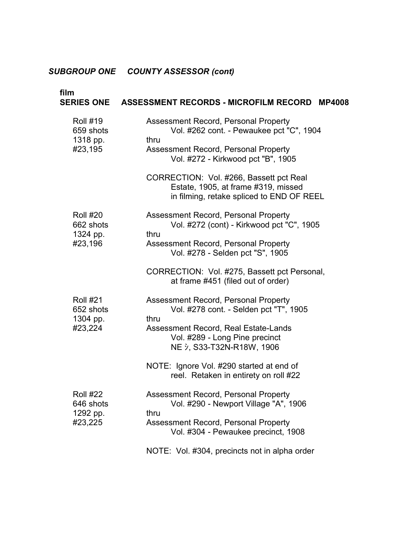| film                                                | SERIES ONE ASSESSMENT RECORDS - MICROFILM RECORD<br><b>MP4008</b>                                                                                                                                                                                                                                     |
|-----------------------------------------------------|-------------------------------------------------------------------------------------------------------------------------------------------------------------------------------------------------------------------------------------------------------------------------------------------------------|
| <b>Roll #19</b><br>659 shots<br>1318 pp.<br>#23,195 | Assessment Record, Personal Property<br>Vol. #262 cont. - Pewaukee pct "C", 1904<br>thru<br>Assessment Record, Personal Property<br>Vol. #272 - Kirkwood pct "B", 1905<br>CORRECTION: Vol. #266, Bassett pct Real<br>Estate, 1905, at frame #319, missed<br>in filming, retake spliced to END OF REEL |
| <b>Roll #20</b><br>662 shots<br>1324 pp.<br>#23,196 | Assessment Record, Personal Property<br>Vol. #272 (cont) - Kirkwood pct "C", 1905<br>thru<br>Assessment Record, Personal Property<br>Vol. #278 - Selden pct "S", 1905<br>CORRECTION: Vol. #275, Bassett pct Personal,<br>at frame #451 (filed out of order)                                           |
| <b>Roll #21</b><br>652 shots<br>1304 pp.<br>#23,224 | Assessment Record, Personal Property<br>Vol. #278 cont. - Selden pct "T", 1905<br>thru<br>Assessment Record, Real Estate-Lands<br>Vol. #289 - Long Pine precinct<br>NE $\dot{y}$ , S33-T32N-R18W, 1906<br>NOTE: Ignore Vol. #290 started at end of<br>reel. Retaken in entirety on roll #22           |
| <b>Roll #22</b><br>646 shots<br>1292 pp.<br>#23,225 | Assessment Record, Personal Property<br>Vol. #290 - Newport Village "A", 1906<br>thru<br>Assessment Record, Personal Property<br>Vol. #304 - Pewaukee precinct, 1908<br>NOTE: Vol. #304, precincts not in alpha order                                                                                 |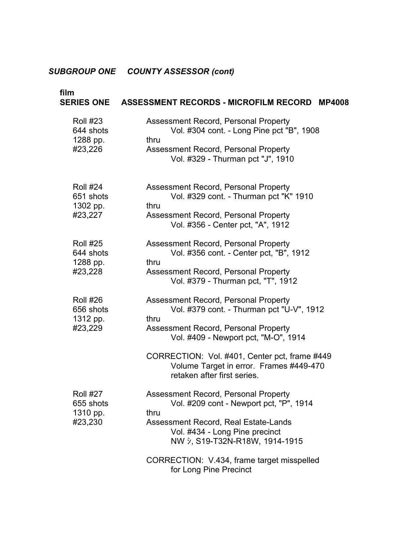| film                                                | SERIES ONE ASSESSMENT RECORDS - MICROFILM RECORD<br><b>MP4008</b>                                                                                                                                                                                                                                    |
|-----------------------------------------------------|------------------------------------------------------------------------------------------------------------------------------------------------------------------------------------------------------------------------------------------------------------------------------------------------------|
| <b>Roll #23</b><br>644 shots<br>1288 pp.<br>#23,226 | Assessment Record, Personal Property<br>Vol. #304 cont. - Long Pine pct "B", 1908<br>thru<br>Assessment Record, Personal Property<br>Vol. #329 - Thurman pct "J", 1910                                                                                                                               |
| <b>Roll #24</b><br>651 shots<br>1302 pp.<br>#23,227 | Assessment Record, Personal Property<br>Vol. #329 cont. - Thurman pct "K" 1910<br>thru<br>Assessment Record, Personal Property<br>Vol. #356 - Center pct, "A", 1912                                                                                                                                  |
| <b>Roll #25</b><br>644 shots<br>1288 pp.<br>#23,228 | Assessment Record, Personal Property<br>Vol. #356 cont. - Center pct, "B", 1912<br>thru<br>Assessment Record, Personal Property<br>Vol. #379 - Thurman pct, "T", 1912                                                                                                                                |
| <b>Roll #26</b><br>656 shots<br>1312 pp.<br>#23,229 | Assessment Record, Personal Property<br>Vol. #379 cont. - Thurman pct "U-V", 1912<br>thru<br>Assessment Record, Personal Property<br>Vol. #409 - Newport pct, "M-O", 1914<br>CORRECTION: Vol. #401, Center pct, frame #449<br>Volume Target in error. Frames #449-470<br>retaken after first series. |
| <b>Roll #27</b><br>655 shots<br>1310 pp.<br>#23,230 | <b>Assessment Record, Personal Property</b><br>Vol. #209 cont - Newport pct, "P", 1914<br>thru<br>Assessment Record, Real Estate-Lands<br>Vol. #434 - Long Pine precinct<br>NW $\dot{y}$ , S19-T32N-R18W, 1914-1915<br>CORRECTION: V.434, frame target misspelled<br>for Long Pine Precinct          |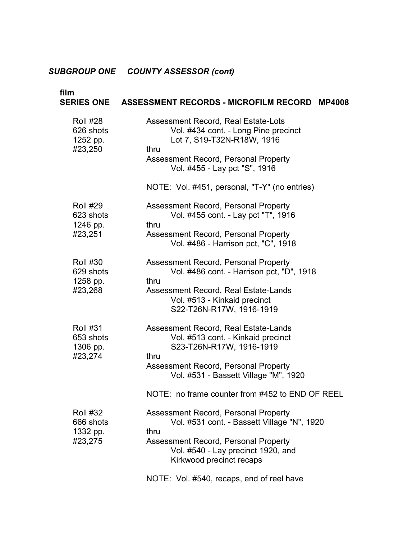| film                                                | SERIES ONE ASSESSMENT RECORDS - MICROFILM RECORD<br><b>MP4008</b>                                                                                                                                                                                  |
|-----------------------------------------------------|----------------------------------------------------------------------------------------------------------------------------------------------------------------------------------------------------------------------------------------------------|
| <b>Roll #28</b><br>626 shots<br>1252 pp.<br>#23,250 | Assessment Record, Real Estate-Lots<br>Vol. #434 cont. - Long Pine precinct<br>Lot 7, S19-T32N-R18W, 1916<br>thru<br>Assessment Record, Personal Property<br>Vol. #455 - Lay pct "S", 1916<br>NOTE: Vol. #451, personal, "T-Y" (no entries)        |
| <b>Roll #29</b><br>623 shots<br>1246 pp.<br>#23,251 | Assessment Record, Personal Property<br>Vol. #455 cont. - Lay pct "T", 1916<br>thru<br>Assessment Record, Personal Property<br>Vol. #486 - Harrison pct, "C", 1918                                                                                 |
| <b>Roll #30</b><br>629 shots<br>1258 pp.<br>#23,268 | Assessment Record, Personal Property<br>Vol. #486 cont. - Harrison pct, "D", 1918<br>thru<br>Assessment Record, Real Estate-Lands<br>Vol. #513 - Kinkaid precinct<br>S22-T26N-R17W, 1916-1919                                                      |
| <b>Roll #31</b><br>653 shots<br>1306 pp.<br>#23,274 | Assessment Record, Real Estate-Lands<br>Vol. #513 cont. - Kinkaid precinct<br>S23-T26N-R17W, 1916-1919<br>thru<br>Assessment Record, Personal Property<br>Vol. #531 - Bassett Village "M", 1920<br>NOTE: no frame counter from #452 to END OF REEL |
| <b>Roll #32</b><br>666 shots<br>1332 pp.<br>#23,275 | Assessment Record, Personal Property<br>Vol. #531 cont. - Bassett Village "N", 1920<br>thru<br>Assessment Record, Personal Property<br>Vol. #540 - Lay precinct 1920, and<br>Kirkwood precinct recaps<br>NOTE: Vol. #540, recaps, end of reel have |
|                                                     |                                                                                                                                                                                                                                                    |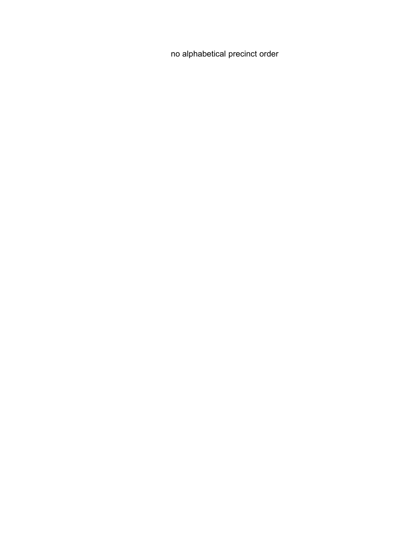no alphabetical precinct order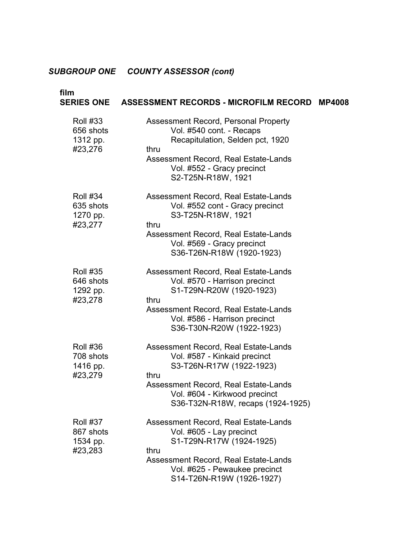#### **film SERIES ONE**  Roll #33 656 shots 1312 pp. #23,276 Roll #34 635 shots 1270 pp. #23,277 Roll #35 646 shots 1292 pp. #23,278 Roll #36 708 shots 1416 pp. #23,279 Roll #37 867 shots 1534 pp. #23,283 **ASSESSMENT RECORDS - MICROFILM RECORD MP4008**  Assessment Record, Personal Property Vol. #540 cont. - Recaps Recapitulation, Selden pct, 1920 thru Assessment Record, Real Estate-Lands Vol. #552 - Gracy precinct S2-T25N-R18W, 1921 Assessment Record, Real Estate-Lands Vol. #552 cont - Gracy precinct � S3-T25N-R18W, 1921 thru Assessment Record, Real Estate-Lands Vol. #569 - Gracy precinct S36-T26N-R18W (1920-1923) Assessment Record, Real Estate-Lands Vol. #570 - Harrison precinct S1-T29N-R20W (1920-1923) thru Assessment Record, Real Estate-Lands Vol. #586 - Harrison precinct � S36-T30N-R20W (1922-1923) Assessment Record, Real Estate-Lands Vol. #587 - Kinkaid precinct � S3-T26N-R17W (1922-1923) � thru Assessment Record, Real Estate-Lands Vol. #604 - Kirkwood precinct S36-T32N-R18W, recaps (1924-1925) Assessment Record, Real Estate-Lands Vol. #605 - Lay precinct S1-T29N-R17W (1924-1925) � thru Assessment Record, Real Estate-Lands Vol. #625 - Pewaukee precinct S14-T26N-R19W (1926-1927)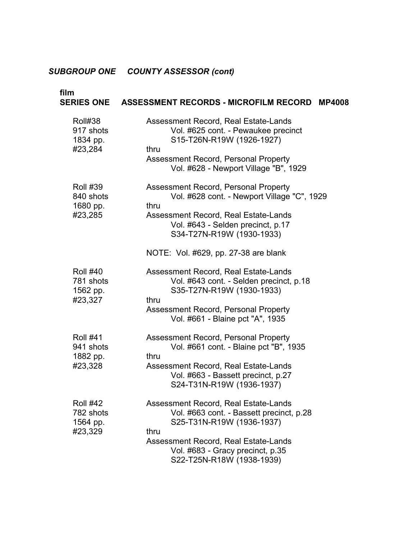| film<br><b>SERIES ONE</b>                           | ASSESSMENT RECORDS - MICROFILM RECORD<br><b>MP4008</b>                                                                                                                                                                                        |
|-----------------------------------------------------|-----------------------------------------------------------------------------------------------------------------------------------------------------------------------------------------------------------------------------------------------|
| Roll#38<br>917 shots<br>1834 pp.<br>#23,284         | Assessment Record, Real Estate-Lands<br>Vol. #625 cont. - Pewaukee precinct<br>S15-T26N-R19W (1926-1927)<br>thru<br>Assessment Record, Personal Property<br>Vol. #628 - Newport Village "B", 1929                                             |
| <b>Roll #39</b><br>840 shots<br>1680 pp.<br>#23,285 | Assessment Record, Personal Property<br>Vol. #628 cont. - Newport Village "C", 1929<br>thru<br>Assessment Record, Real Estate-Lands<br>Vol. #643 - Selden precinct, p.17<br>S34-T27N-R19W (1930-1933)<br>NOTE: Vol. #629, pp. 27-38 are blank |
| <b>Roll #40</b><br>781 shots<br>1562 pp.<br>#23,327 | Assessment Record, Real Estate-Lands<br>Vol. #643 cont. - Selden precinct, p.18<br>S35-T27N-R19W (1930-1933)<br>thru<br>Assessment Record, Personal Property<br>Vol. #661 - Blaine pct "A", 1935                                              |
| <b>Roll #41</b><br>941 shots<br>1882 pp.<br>#23,328 | Assessment Record, Personal Property<br>Vol. #661 cont. - Blaine pct "B", 1935<br>thru<br>Assessment Record, Real Estate-Lands<br>Vol. #663 - Bassett precinct, p.27<br>S24-T31N-R19W (1936-1937)                                             |
| <b>Roll #42</b><br>782 shots<br>1564 pp.<br>#23,329 | Assessment Record, Real Estate-Lands<br>Vol. #663 cont. - Bassett precinct, p.28<br>S25-T31N-R19W (1936-1937)<br>thru<br>Assessment Record, Real Estate-Lands<br>Vol. #683 - Gracy precinct, p.35<br>S22-T25N-R18W (1938-1939)                |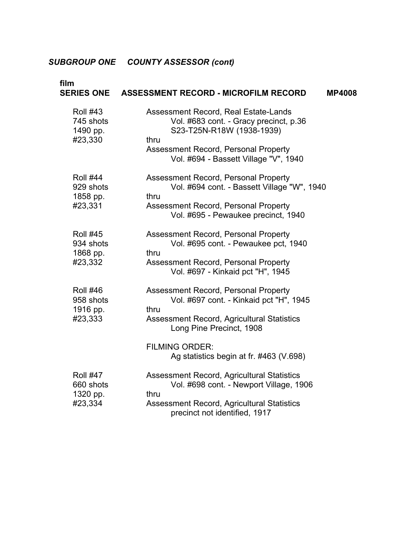| film                                                | SERIES ONE ASSESSMENT RECORD - MICROFILM RECORD<br><b>MP4008</b>                                                                                                                                                                      |
|-----------------------------------------------------|---------------------------------------------------------------------------------------------------------------------------------------------------------------------------------------------------------------------------------------|
| <b>Roll #43</b><br>745 shots<br>1490 pp.<br>#23,330 | Assessment Record, Real Estate-Lands<br>Vol. #683 cont. - Gracy precinct, p.36<br>S23-T25N-R18W (1938-1939)<br>thru<br>Assessment Record, Personal Property<br>Vol. #694 - Bassett Village "V", 1940                                  |
| <b>Roll #44</b><br>929 shots<br>1858 pp.<br>#23,331 | Assessment Record, Personal Property<br>Vol. #694 cont. - Bassett Village "W", 1940<br>thru<br>Assessment Record, Personal Property<br>Vol. #695 - Pewaukee precinct, 1940                                                            |
| <b>Roll #45</b><br>934 shots<br>1868 pp.<br>#23,332 | Assessment Record, Personal Property<br>Vol. #695 cont. - Pewaukee pct, 1940<br>thru<br>Assessment Record, Personal Property<br>Vol. #697 - Kinkaid pct "H", 1945                                                                     |
| <b>Roll #46</b><br>958 shots<br>1916 pp.<br>#23,333 | Assessment Record, Personal Property<br>Vol. #697 cont. - Kinkaid pct "H", 1945<br>thru<br>Assessment Record, Agricultural Statistics<br>Long Pine Precinct, 1908<br><b>FILMING ORDER:</b>                                            |
| <b>Roll #47</b><br>660 shots<br>1320 pp.<br>#23,334 | Ag statistics begin at fr. #463 (V.698)<br><b>Assessment Record, Agricultural Statistics</b><br>Vol. #698 cont. - Newport Village, 1906<br>thru<br><b>Assessment Record, Agricultural Statistics</b><br>precinct not identified, 1917 |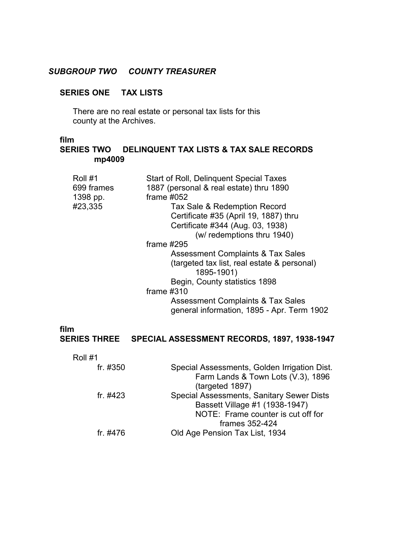# *SUBGROUP TWO COUNTY TREASURER*

# **SERIES ONE TAX LISTS**

There are no real estate or personal tax lists for this county at the Archives.

## **film**

# **SERIES TWO DELINQUENT TAX LISTS & TAX SALE RECORDS mp4009**

| Roll #1<br>699 frames<br>1398 pp. | Start of Roll, Delinguent Special Taxes<br>1887 (personal & real estate) thru 1890<br>frame $#052$ |
|-----------------------------------|----------------------------------------------------------------------------------------------------|
| #23,335                           | Tax Sale & Redemption Record                                                                       |
|                                   | Certificate #35 (April 19, 1887) thru                                                              |
|                                   | Certificate #344 (Aug. 03, 1938)                                                                   |
|                                   | (w/ redemptions thru 1940)                                                                         |
|                                   | frame $\#295$                                                                                      |
|                                   | Assessment Complaints & Tax Sales                                                                  |
|                                   | (targeted tax list, real estate & personal)<br>1895-1901)                                          |
|                                   | Begin, County statistics 1898                                                                      |
|                                   | frame $\#310$                                                                                      |
|                                   | <b>Assessment Complaints &amp; Tax Sales</b><br>general information, 1895 - Apr. Term 1902         |
|                                   |                                                                                                    |

### **film SERIES THREE SPECIAL ASSESSMENT RECORDS, 1897, 1938-1947**

| Roll #1    |                                              |
|------------|----------------------------------------------|
| fr. #350   | Special Assessments, Golden Irrigation Dist. |
|            | Farm Lands & Town Lots (V.3), 1896           |
|            | (targeted 1897)                              |
| fr. $#423$ | Special Assessments, Sanitary Sewer Dists    |
|            | Bassett Village #1 (1938-1947)               |
|            | NOTE: Frame counter is cut off for           |
|            | frames 352-424                               |
| fr. #476   | Old Age Pension Tax List, 1934               |
|            |                                              |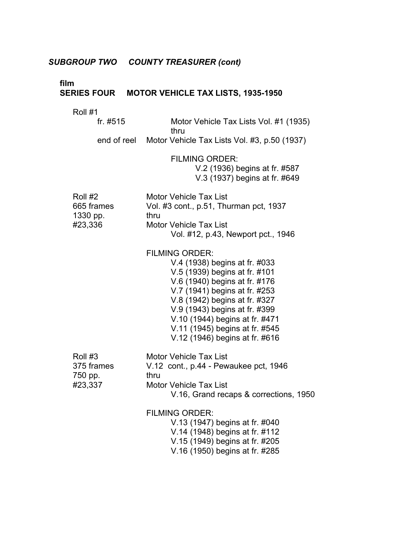# *SUBGROUP TWO COUNTY TREASURER (cont)*

# **film**

# **SERIES FOUR MOTOR VEHICLE TAX LISTS, 1935-1950**

# Roll #1

| fr. #515                                     | Motor Vehicle Tax Lists Vol. #1 (1935)<br>thru                                                                                                                                                                                                                                                                                    |
|----------------------------------------------|-----------------------------------------------------------------------------------------------------------------------------------------------------------------------------------------------------------------------------------------------------------------------------------------------------------------------------------|
|                                              | end of reel Motor Vehicle Tax Lists Vol. #3, p.50 (1937)                                                                                                                                                                                                                                                                          |
|                                              | <b>FILMING ORDER:</b><br>V.2 (1936) begins at fr. #587<br>V.3 (1937) begins at fr. #649                                                                                                                                                                                                                                           |
| Roll #2<br>665 frames<br>1330 pp.<br>#23,336 | <b>Motor Vehicle Tax List</b><br>Vol. #3 cont., p.51, Thurman pct, 1937<br>thru<br><b>Motor Vehicle Tax List</b><br>Vol. #12, p.43, Newport pct., 1946                                                                                                                                                                            |
|                                              | <b>FILMING ORDER:</b><br>V.4 (1938) begins at fr. #033<br>V.5 (1939) begins at fr. #101<br>V.6 (1940) begins at fr. #176<br>V.7 (1941) begins at fr. #253<br>V.8 (1942) begins at fr. #327<br>V.9 (1943) begins at fr. #399<br>V.10 (1944) begins at fr. #471<br>V.11 (1945) begins at fr. #545<br>V.12 (1946) begins at fr. #616 |
| Roll #3<br>375 frames<br>750 pp.<br>#23,337  | <b>Motor Vehicle Tax List</b><br>V.12 cont., p.44 - Pewaukee pct, 1946<br>thru<br><b>Motor Vehicle Tax List</b><br>V.16, Grand recaps & corrections, 1950                                                                                                                                                                         |
|                                              | <b>FILMING ORDER:</b><br>V.13 (1947) begins at fr. #040<br>V.14 (1948) begins at fr. #112<br>V.15 (1949) begins at fr. #205<br>V.16 (1950) begins at fr. #285                                                                                                                                                                     |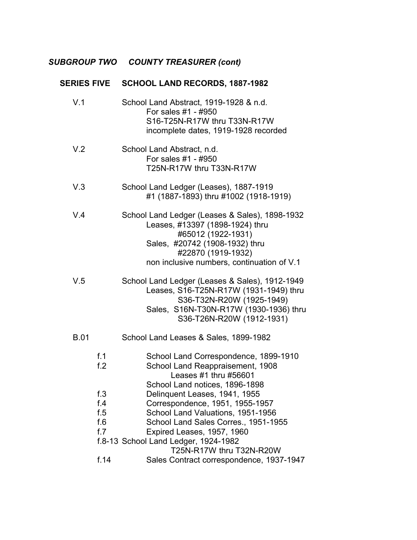# *SUBGROUP TWO COUNTY TREASURER (cont)*

| <b>SERIES FIVE</b>                                    | SCHOOL LAND RECORDS, 1887-1982                                                                                                                                                                                                                                                                                                                                                                                                      |  |  |
|-------------------------------------------------------|-------------------------------------------------------------------------------------------------------------------------------------------------------------------------------------------------------------------------------------------------------------------------------------------------------------------------------------------------------------------------------------------------------------------------------------|--|--|
|                                                       | School Land Abstract, 1919-1928 & n.d.<br>For sales #1 - #950<br>S16-T25N-R17W thru T33N-R17W<br>incomplete dates, 1919-1928 recorded                                                                                                                                                                                                                                                                                               |  |  |
|                                                       | School Land Abstract, n.d.<br>For sales #1 - #950<br>T25N-R17W thru T33N-R17W                                                                                                                                                                                                                                                                                                                                                       |  |  |
|                                                       | School Land Ledger (Leases), 1887-1919<br>#1 (1887-1893) thru #1002 (1918-1919)                                                                                                                                                                                                                                                                                                                                                     |  |  |
|                                                       | School Land Ledger (Leases & Sales), 1898-1932<br>Leases, #13397 (1898-1924) thru<br>#65012 (1922-1931)<br>Sales, #20742 (1908-1932) thru<br>#22870 (1919-1932)<br>non inclusive numbers, continuation of V.1                                                                                                                                                                                                                       |  |  |
|                                                       | School Land Ledger (Leases & Sales), 1912-1949<br>Leases, S16-T25N-R17W (1931-1949) thru<br>S36-T32N-R20W (1925-1949)<br>Sales, S16N-T30N-R17W (1930-1936) thru<br>S36-T26N-R20W (1912-1931)                                                                                                                                                                                                                                        |  |  |
|                                                       | School Land Leases & Sales, 1899-1982                                                                                                                                                                                                                                                                                                                                                                                               |  |  |
| f.1<br>f.2<br>f.3<br>f.4<br>f.5<br>f.6<br>f.7<br>f.14 | School Land Correspondence, 1899-1910<br>School Land Reappraisement, 1908<br>Leases #1 thru #56601<br>School Land notices, 1896-1898<br>Delinquent Leases, 1941, 1955<br>Correspondence, 1951, 1955-1957<br>School Land Valuations, 1951-1956<br>School Land Sales Corres., 1951-1955<br>Expired Leases, 1957, 1960<br>f.8-13 School Land Ledger, 1924-1982<br>T25N-R17W thru T32N-R20W<br>Sales Contract correspondence, 1937-1947 |  |  |
|                                                       |                                                                                                                                                                                                                                                                                                                                                                                                                                     |  |  |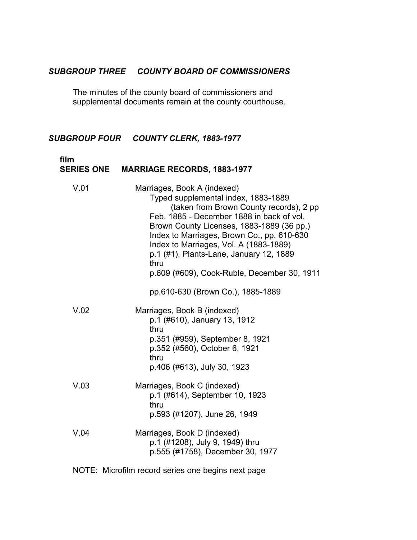# *SUBGROUP THREE COUNTY BOARD OF COMMISSIONERS*

The minutes of the county board of commissioners and supplemental documents remain at the county courthouse.

# *SUBGROUP FOUR COUNTY CLERK, 1883-1977*

| film<br><b>SERIES ONE</b> | <b>MARRIAGE RECORDS, 1883-1977</b>                                                                                                                                                                                                                                                                                                                                                                |
|---------------------------|---------------------------------------------------------------------------------------------------------------------------------------------------------------------------------------------------------------------------------------------------------------------------------------------------------------------------------------------------------------------------------------------------|
| V.01                      | Marriages, Book A (indexed)<br>Typed supplemental index, 1883-1889<br>(taken from Brown County records), 2 pp<br>Feb. 1885 - December 1888 in back of vol.<br>Brown County Licenses, 1883-1889 (36 pp.)<br>Index to Marriages, Brown Co., pp. 610-630<br>Index to Marriages, Vol. A (1883-1889)<br>p.1 (#1), Plants-Lane, January 12, 1889<br>thru<br>p.609 (#609), Cook-Ruble, December 30, 1911 |
|                           | pp.610-630 (Brown Co.), 1885-1889                                                                                                                                                                                                                                                                                                                                                                 |
| V.02                      | Marriages, Book B (indexed)<br>p.1 (#610), January 13, 1912<br>thru<br>p.351 (#959), September 8, 1921<br>p.352 (#560), October 6, 1921<br>thru<br>p.406 (#613), July 30, 1923                                                                                                                                                                                                                    |
| V.03                      | Marriages, Book C (indexed)<br>p.1 (#614), September 10, 1923<br>thru<br>p.593 (#1207), June 26, 1949                                                                                                                                                                                                                                                                                             |
| V.04                      | Marriages, Book D (indexed)<br>p.1 (#1208), July 9, 1949) thru<br>p.555 (#1758), December 30, 1977                                                                                                                                                                                                                                                                                                |
|                           | NOTE: Microfilm record series one begins next page                                                                                                                                                                                                                                                                                                                                                |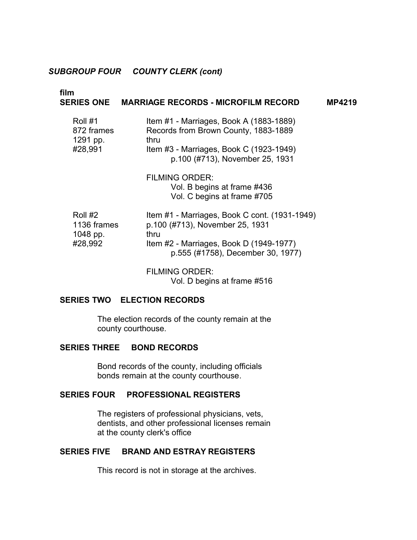#### *SUBGROUP FOUR COUNTY CLERK (cont)*

# **film SERIES ONE MARRIAGE RECORDS - MICROFILM RECORD MP4219**  Roll #1 **Item #1 - Marriages, Book A (1883-1889)** 872 frames Records from Brown County, 1883-1889 1291 pp. thru #28,991 Item #3 - Marriages, Book C (1923-1949) p.100 (#713), November 25, 1931 FILMING ORDER: Vol. B begins at frame #436 Vol. C begins at frame #705 Roll #2 Item #1 - Marriages, Book C cont. (1931-1949) 1136 frames p.100 (#713), November 25, 1931 1048 pp. thru #28,992 Item #2 - Marriages, Book D (1949-1977) p.555 (#1758), December 30, 1977) FILMING ORDER:

Vol. D begins at frame #516

### **SERIES TWO ELECTION RECORDS**

The election records of the county remain at the county courthouse.

### **SERIES THREE BOND RECORDS**

Bond records of the county, including officials bonds remain at the county courthouse.

#### **SERIES FOUR PROFESSIONAL REGISTERS**

The registers of professional physicians, vets, dentists, and other professional licenses remain at the county clerk's office

# **SERIES FIVE BRAND AND ESTRAY REGISTERS**

This record is not in storage at the archives.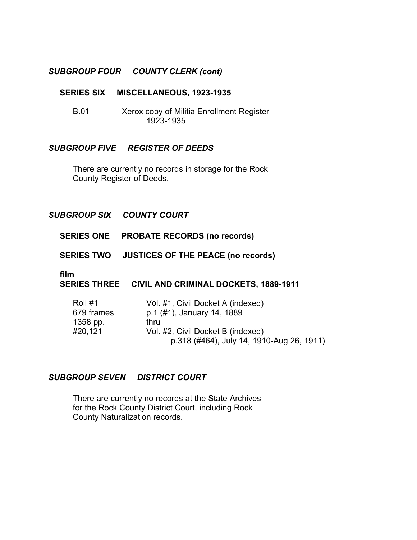# *SUBGROUP FOUR COUNTY CLERK (cont)*

#### **SERIES SIX MISCELLANEOUS, 1923-1935**

B.01 � Xerox copy of Militia Enrollment Register 1923-1935

### *SUBGROUP FIVE REGISTER OF DEEDS*

There are currently no records in storage for the Rock County Register of Deeds.

### *SUBGROUP SIX* � *COUNTY COURT*

- **SERIES ONE PROBATE RECORDS (no records)**
- **SERIES TWO JUSTICES OF THE PEACE (no records)**

### **film**

#### **SERIES THREE CIVIL AND CRIMINAL DOCKETS, 1889-1911**

| Roll #1    | Vol. #1, Civil Docket A (indexed)         |
|------------|-------------------------------------------|
| 679 frames | p.1 (#1), January 14, 1889                |
| 1358 pp.   | thru                                      |
| #20,121    | Vol. #2, Civil Docket B (indexed)         |
|            | p.318 (#464), July 14, 1910-Aug 26, 1911) |

# *SUBGROUP SEVEN DISTRICT COURT*

There are currently no records at the State Archives � for the Rock County District Court, including Rock � County Naturalization records.